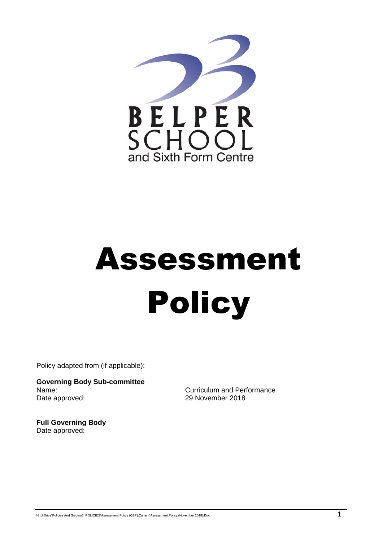

# Assessment **Policy**

Policy adapted from (if applicable):

**Governing Body Sub-committee** Name: Curriculum and Performance Date approved: 29 November 2018

**Full Governing Body** Date approved: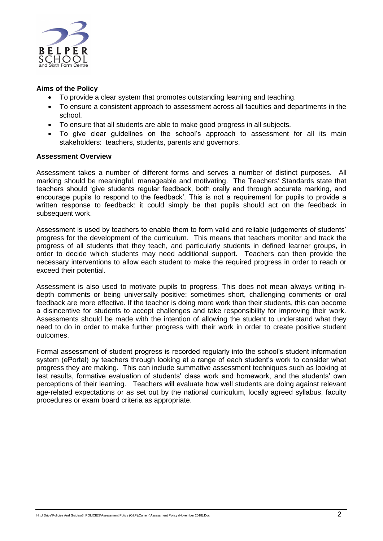

#### **Aims of the Policy**

- To provide a clear system that promotes outstanding learning and teaching.
- To ensure a consistent approach to assessment across all faculties and departments in the school.
- To ensure that all students are able to make good progress in all subjects.
- To give clear guidelines on the school's approach to assessment for all its main stakeholders: teachers, students, parents and governors.

#### **Assessment Overview**

Assessment takes a number of different forms and serves a number of distinct purposes. All marking should be meaningful, manageable and motivating. The Teachers' Standards state that teachers should 'give students regular feedback, both orally and through accurate marking, and encourage pupils to respond to the feedback'. This is not a requirement for pupils to provide a written response to feedback: it could simply be that pupils should act on the feedback in subsequent work.

Assessment is used by teachers to enable them to form valid and reliable judgements of students' progress for the development of the curriculum. This means that teachers monitor and track the progress of all students that they teach, and particularly students in defined learner groups, in order to decide which students may need additional support. Teachers can then provide the necessary interventions to allow each student to make the required progress in order to reach or exceed their potential.

Assessment is also used to motivate pupils to progress. This does not mean always writing indepth comments or being universally positive: sometimes short, challenging comments or oral feedback are more effective. If the teacher is doing more work than their students, this can become a disincentive for students to accept challenges and take responsibility for improving their work. Assessments should be made with the intention of allowing the student to understand what they need to do in order to make further progress with their work in order to create positive student outcomes.

Formal assessment of student progress is recorded regularly into the school's student information system (ePortal) by teachers through looking at a range of each student's work to consider what progress they are making. This can include summative assessment techniques such as looking at test results, formative evaluation of students' class work and homework, and the students' own perceptions of their learning. Teachers will evaluate how well students are doing against relevant age-related expectations or as set out by the national curriculum, locally agreed syllabus, faculty procedures or exam board criteria as appropriate.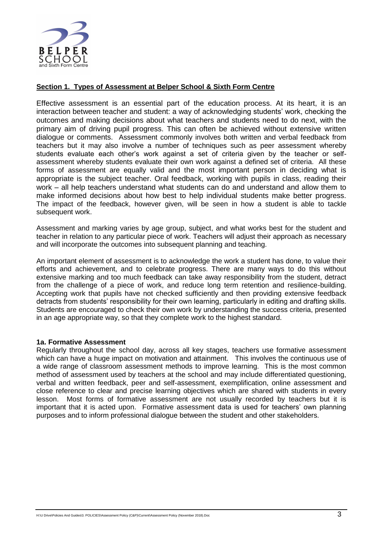

## **Section 1. Types of Assessment at Belper School & Sixth Form Centre**

Effective assessment is an essential part of the education process. At its heart, it is an interaction between teacher and student: a way of acknowledging students' work, checking the outcomes and making decisions about what teachers and students need to do next, with the primary aim of driving pupil progress. This can often be achieved without extensive written dialogue or comments.Assessment commonly involves both written and verbal feedback from teachers but it may also involve a number of techniques such as peer assessment whereby students evaluate each other's work against a set of criteria given by the teacher or selfassessment whereby students evaluate their own work against a defined set of criteria. All these forms of assessment are equally valid and the most important person in deciding what is appropriate is the subject teacher. Oral feedback, working with pupils in class, reading their work – all help teachers understand what students can do and understand and allow them to make informed decisions about how best to help individual students make better progress. The impact of the feedback, however given, will be seen in how a student is able to tackle subsequent work.

Assessment and marking varies by age group, subject, and what works best for the student and teacher in relation to any particular piece of work. Teachers will adjust their approach as necessary and will incorporate the outcomes into subsequent planning and teaching.

An important element of assessment is to acknowledge the work a student has done, to value their efforts and achievement, and to celebrate progress. There are many ways to do this without extensive marking and too much feedback can take away responsibility from the student, detract from the challenge of a piece of work, and reduce long term retention and resilience-building. Accepting work that pupils have not checked sufficiently and then providing extensive feedback detracts from students' responsibility for their own learning, particularly in editing and drafting skills. Students are encouraged to check their own work by understanding the success criteria, presented in an age appropriate way, so that they complete work to the highest standard.

#### **1a. Formative Assessment**

Regularly throughout the school day, across all key stages, teachers use formative assessment which can have a huge impact on motivation and attainment. This involves the continuous use of a wide range of classroom assessment methods to improve learning. This is the most common method of assessment used by teachers at the school and may include differentiated questioning, verbal and written feedback, peer and self-assessment, exemplification, online assessment and close reference to clear and precise learning objectives which are shared with students in every lesson. Most forms of formative assessment are not usually recorded by teachers but it is important that it is acted upon. Formative assessment data is used for teachers' own planning purposes and to inform professional dialogue between the student and other stakeholders.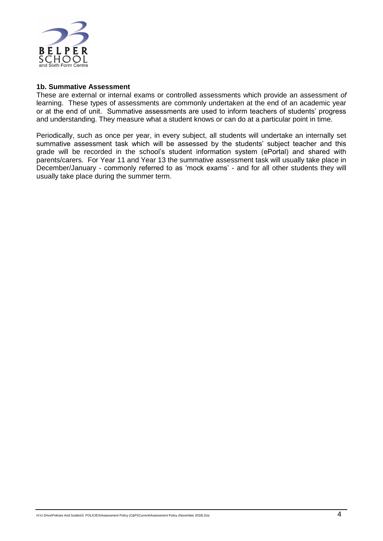

#### **1b. Summative Assessment**

These are external or internal exams or controlled assessments which provide an assessment *of* learning. These types of assessments are commonly undertaken at the end of an academic year or at the end of unit. Summative assessments are used to inform teachers of students' progress and understanding. They measure what a student knows or can do at a particular point in time.

Periodically, such as once per year, in every subject, all students will undertake an internally set summative assessment task which will be assessed by the students' subject teacher and this grade will be recorded in the school's student information system (ePortal) and shared with parents/carers. For Year 11 and Year 13 the summative assessment task will usually take place in December/January - commonly referred to as 'mock exams' - and for all other students they will usually take place during the summer term.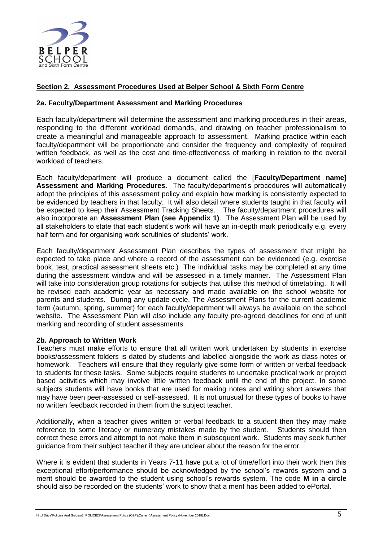

# **Section 2. Assessment Procedures Used at Belper School & Sixth Form Centre**

#### **2a. Faculty/Department Assessment and Marking Procedures**

Each faculty/department will determine the assessment and marking procedures in their areas, responding to the different workload demands, and drawing on teacher professionalism to create a meaningful and manageable approach to assessment. Marking practice within each faculty/department will be proportionate and consider the frequency and complexity of required written feedback, as well as the cost and time-effectiveness of marking in relation to the overall workload of teachers.

Each faculty/department will produce a document called the [**Faculty/Department name] Assessment and Marking Procedures**. The faculty/department's procedures will automatically adopt the principles of this assessment policy and explain how marking is consistently expected to be evidenced by teachers in that faculty. It will also detail where students taught in that faculty will be expected to keep their Assessment Tracking Sheets. The faculty/department procedures will also incorporate an **Assessment Plan (see Appendix 1)**. The Assessment Plan will be used by all stakeholders to state that each student's work will have an in-depth mark periodically e.g. every half term and for organising work scrutinies of students' work.

Each faculty/department Assessment Plan describes the types of assessment that might be expected to take place and where a record of the assessment can be evidenced (e.g. exercise book, test, practical assessment sheets etc.) The individual tasks may be completed at any time during the assessment window and will be assessed in a timely manner. The Assessment Plan will take into consideration group rotations for subjects that utilise this method of timetabling. It will be revised each academic year as necessary and made available on the school website for parents and students. During any update cycle, The Assessment Plans for the current academic term (autumn, spring, summer) for each faculty/department will always be available on the school website. The Assessment Plan will also include any faculty pre-agreed deadlines for end of unit marking and recording of student assessments.

#### **2b. Approach to Written Work**

Teachers must make efforts to ensure that all written work undertaken by students in exercise books/assessment folders is dated by students and labelled alongside the work as class notes or homework. Teachers will ensure that they regularly give some form of written or verbal feedback to students for these tasks. Some subjects require students to undertake practical work or project based activities which may involve little written feedback until the end of the project. In some subjects students will have books that are used for making notes and writing short answers that may have been peer-assessed or self-assessed. It is not unusual for these types of books to have no written feedback recorded in them from the subject teacher.

Additionally, when a teacher gives written or verbal feedback to a student then they may make reference to some literacy or numeracy mistakes made by the student. Students should then correct these errors and attempt to not make them in subsequent work. Students may seek further guidance from their subject teacher if they are unclear about the reason for the error.

Where it is evident that students in Years 7-11 have put a lot of time/effort into their work then this exceptional effort/performance should be acknowledged by the school's rewards system and a merit should be awarded to the student using school's rewards system. The code **M in a circle** should also be recorded on the students' work to show that a merit has been added to ePortal.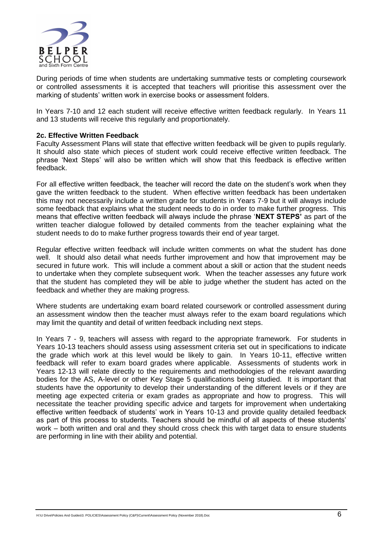

During periods of time when students are undertaking summative tests or completing coursework or controlled assessments it is accepted that teachers will prioritise this assessment over the marking of students' written work in exercise books or assessment folders.

In Years 7-10 and 12 each student will receive effective written feedback regularly. In Years 11 and 13 students will receive this regularly and proportionately.

#### **2c. Effective Written Feedback**

Faculty Assessment Plans will state that effective written feedback will be given to pupils regularly. It should also state which pieces of student work could receive effective written feedback. The phrase 'Next Steps' will also be written which will show that this feedback is effective written feedback.

For all effective written feedback, the teacher will record the date on the student's work when they gave the written feedback to the student. When effective written feedback has been undertaken this may not necessarily include a written grade for students in Years 7-9 but it will always include some feedback that explains what the student needs to do in order to make further progress. This means that effective written feedback will always include the phrase '**NEXT STEPS'** as part of the written teacher dialogue followed by detailed comments from the teacher explaining what the student needs to do to make further progress towards their end of year target.

Regular effective written feedback will include written comments on what the student has done well. It should also detail what needs further improvement and how that improvement may be secured in future work. This will include a comment about a skill or action that the student needs to undertake when they complete subsequent work. When the teacher assesses any future work that the student has completed they will be able to judge whether the student has acted on the feedback and whether they are making progress.

Where students are undertaking exam board related coursework or controlled assessment during an assessment window then the teacher must always refer to the exam board regulations which may limit the quantity and detail of written feedback including next steps.

In Years 7 - 9, teachers will assess with regard to the appropriate framework. For students in Years 10-13 teachers should assess using assessment criteria set out in specifications to indicate the grade which work at this level would be likely to gain. In Years 10-11, effective written feedback will refer to exam board grades where applicable. Assessments of students work in Years 12-13 will relate directly to the requirements and methodologies of the relevant awarding bodies for the AS, A-level or other Key Stage 5 qualifications being studied. It is important that students have the opportunity to develop their understanding of the different levels or if they are meeting age expected criteria or exam grades as appropriate and how to progress. This will necessitate the teacher providing specific advice and targets for improvement when undertaking effective written feedback of students' work in Years 10-13 and provide quality detailed feedback as part of this process to students. Teachers should be mindful of all aspects of these students' work – both written and oral and they should cross check this with target data to ensure students are performing in line with their ability and potential.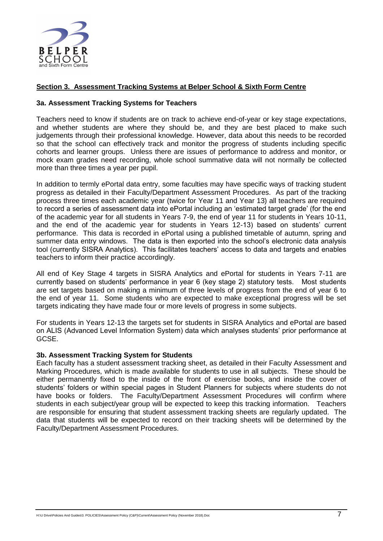

## **Section 3. Assessment Tracking Systems at Belper School & Sixth Form Centre**

#### **3a. Assessment Tracking Systems for Teachers**

Teachers need to know if students are on track to achieve end-of-year or key stage expectations, and whether students are where they should be, and they are best placed to make such judgements through their professional knowledge. However, data about this needs to be recorded so that the school can effectively track and monitor the progress of students including specific cohorts and learner groups. Unless there are issues of performance to address and monitor, or mock exam grades need recording, whole school summative data will not normally be collected more than three times a year per pupil.

In addition to termly ePortal data entry, some faculties may have specific ways of tracking student progress as detailed in their Faculty/Department Assessment Procedures. As part of the tracking process three times each academic year (twice for Year 11 and Year 13) all teachers are required to record a series of assessment data into ePortal including an 'estimated target grade' (for the end of the academic year for all students in Years 7-9, the end of year 11 for students in Years 10-11, and the end of the academic year for students in Years 12-13) based on students' current performance. This data is recorded in ePortal using a published timetable of autumn, spring and summer data entry windows. The data is then exported into the school's electronic data analysis tool (currently SISRA Analytics). This facilitates teachers' access to data and targets and enables teachers to inform their practice accordingly.

All end of Key Stage 4 targets in SISRA Analytics and ePortal for students in Years 7-11 are currently based on students' performance in year 6 (key stage 2) statutory tests. Most students are set targets based on making a minimum of three levels of progress from the end of year 6 to the end of year 11. Some students who are expected to make exceptional progress will be set targets indicating they have made four or more levels of progress in some subjects.

For students in Years 12-13 the targets set for students in SISRA Analytics and ePortal are based on ALIS (Advanced Level Information System) data which analyses students' prior performance at GCSE.

#### **3b. Assessment Tracking System for Students**

Each faculty has a student assessment tracking sheet, as detailed in their Faculty Assessment and Marking Procedures, which is made available for students to use in all subjects. These should be either permanently fixed to the inside of the front of exercise books, and inside the cover of students' folders or within special pages in Student Planners for subjects where students do not have books or folders. The Faculty/Department Assessment Procedures will confirm where students in each subject/year group will be expected to keep this tracking information. Teachers are responsible for ensuring that student assessment tracking sheets are regularly updated. The data that students will be expected to record on their tracking sheets will be determined by the Faculty/Department Assessment Procedures.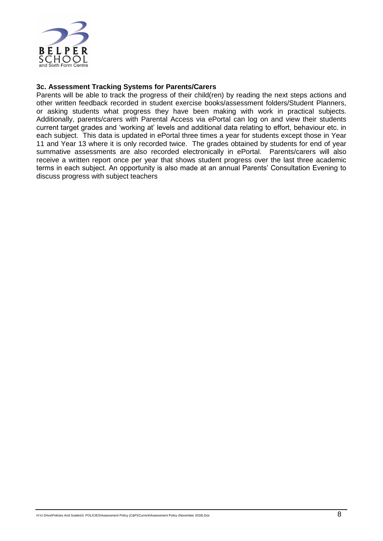

#### **3c. Assessment Tracking Systems for Parents/Carers**

Parents will be able to track the progress of their child(ren) by reading the next steps actions and other written feedback recorded in student exercise books/assessment folders/Student Planners, or asking students what progress they have been making with work in practical subjects. Additionally, parents/carers with Parental Access via ePortal can log on and view their students current target grades and 'working at' levels and additional data relating to effort, behaviour etc. in each subject. This data is updated in ePortal three times a year for students except those in Year 11 and Year 13 where it is only recorded twice. The grades obtained by students for end of year summative assessments are also recorded electronically in ePortal. Parents/carers will also receive a written report once per year that shows student progress over the last three academic terms in each subject. An opportunity is also made at an annual Parents' Consultation Evening to discuss progress with subject teachers